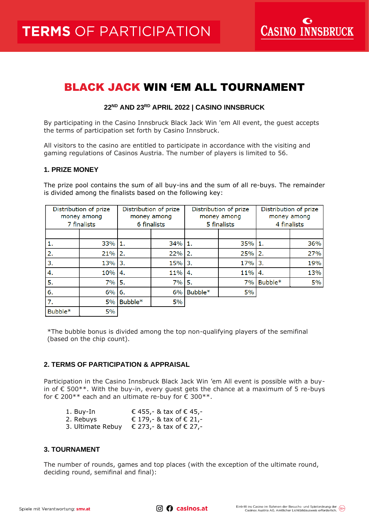**CASINO INNSBRUCK** 

# BLACK JACK WIN 'EM ALL TOURNAMENT

## **22 ND AND 23 RD APRIL 2022 | CASINO INNSBRUCK**

By participating in the Casino Innsbruck Black Jack Win 'em All event, the guest accepts the terms of participation set forth by Casino Innsbruck.

All visitors to the casino are entitled to participate in accordance with the visiting and gaming regulations of Casinos Austria. The number of players is limited to 56.

#### **1. PRIZE MONEY**

The prize pool contains the sum of all buy-ins and the sum of all re-buys. The remainder is divided among the finalists based on the following key:

| Distribution of prize<br>money among<br>7 finalists |           | Distribution of prize<br>money among<br>6 finalists |     | Distribution of prize<br>money among<br>5 finalists |     | Distribution of prize<br>money among<br>4 finalists |     |
|-----------------------------------------------------|-----------|-----------------------------------------------------|-----|-----------------------------------------------------|-----|-----------------------------------------------------|-----|
|                                                     |           |                                                     |     |                                                     |     |                                                     |     |
| 1.                                                  | 33% 1.    |                                                     | 34% | 11.                                                 | 35% | 11.                                                 | 36% |
| 2.                                                  | 21%       | <b>2.</b>                                           | 22% | 2.                                                  | 25% | 2.                                                  | 27% |
| 3.                                                  | $13\%$ 3. |                                                     | 15% | $\overline{3}$ .                                    | 17% | 3.                                                  | 19% |
| 4.                                                  | 10% 4.    |                                                     | 11% | 4.                                                  | 11% | 4.                                                  | 13% |
| 5.                                                  | 7%        | 5.                                                  | 7%  | 5.                                                  | 7%  | Bubble*                                             | 5%  |
| 6.                                                  | $6\%$ 6.  |                                                     | 6%  | Bubble*                                             | 5%  |                                                     |     |
| 7.                                                  | 5%        | Bubble*                                             | 5%  |                                                     |     |                                                     |     |
| Bubble*                                             | 5%        |                                                     |     |                                                     |     |                                                     |     |

\*The bubble bonus is divided among the top non-qualifying players of the semifinal (based on the chip count).

## **2. TERMS OF PARTICIPATION & APPRAISAL**

Participation in the Casino Innsbruck Black Jack Win 'em All event is possible with a buyin of  $\epsilon$  500\*\*. With the buy-in, every guest gets the chance at a maximum of 5 re-buys for  $\epsilon$  200\*\* each and an ultimate re-buy for  $\epsilon$  300\*\*.

| 1. Buy-In         | € 455, - & tax of $∈$ 45, - |
|-------------------|-----------------------------|
| 2. Rebuys         | € 179,- & tax of € 21,-     |
| 3. Ultimate Rebuy | € 273,- & tax of € 27,-     |

# **3. TOURNAMENT**

The number of rounds, games and top places (with the exception of the ultimate round, deciding round, semifinal and final):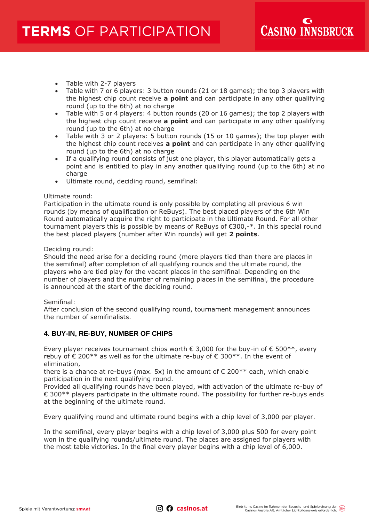- Table with 2-7 players
- Table with 7 or 6 players: 3 button rounds (21 or 18 games); the top 3 players with the highest chip count receive **a point** and can participate in any other qualifying round (up to the 6th) at no charge
- Table with 5 or 4 players: 4 button rounds (20 or 16 games); the top 2 players with the highest chip count receive **a point** and can participate in any other qualifying round (up to the 6th) at no charge
- Table with 3 or 2 players: 5 button rounds (15 or 10 games); the top player with the highest chip count receives **a point** and can participate in any other qualifying round (up to the 6th) at no charge
- If a qualifying round consists of just one player, this player automatically gets a point and is entitled to play in any another qualifying round (up to the 6th) at no charge
- Ultimate round, deciding round, semifinal:

## Ultimate round:

Participation in the ultimate round is only possible by completing all previous 6 win rounds (by means of qualification or ReBuys). The best placed players of the 6th Win Round automatically acquire the right to participate in the Ultimate Round. For all other tournament players this is possible by means of ReBuys of €300,-\*. In this special round the best placed players (number after Win rounds) will get **2 points**.

## Deciding round:

Should the need arise for a deciding round (more players tied than there are places in the semifinal) after completion of all qualifying rounds and the ultimate round, the players who are tied play for the vacant places in the semifinal. Depending on the number of players and the number of remaining places in the semifinal, the procedure is announced at the start of the deciding round.

# Semifinal:

After conclusion of the second qualifying round, tournament management announces the number of semifinalists.

# **4. BUY-IN, RE-BUY, NUMBER OF CHIPS**

Every player receives tournament chips worth  $\epsilon$  3,000 for the buy-in of  $\epsilon$  500\*\*, every rebuy of € 200\*\* as well as for the ultimate re-buy of € 300\*\*. In the event of elimination,

there is a chance at re-buys (max. 5x) in the amount of  $\epsilon$  200\*\* each, which enable participation in the next qualifying round.

Provided all qualifying rounds have been played, with activation of the ultimate re-buy of € 300\*\* players participate in the ultimate round. The possibility for further re-buys ends at the beginning of the ultimate round.

Every qualifying round and ultimate round begins with a chip level of 3,000 per player.

In the semifinal, every player begins with a chip level of 3,000 plus 500 for every point won in the qualifying rounds/ultimate round. The places are assigned for players with the most table victories. In the final every player begins with a chip level of 6,000.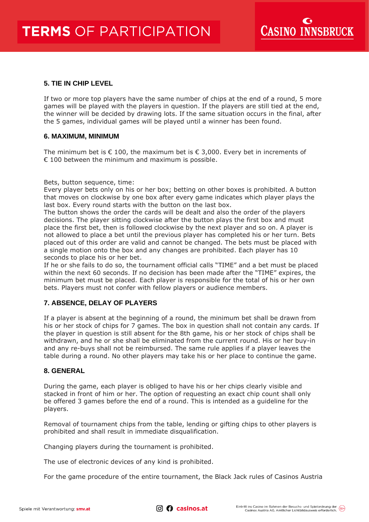# **5. TIE IN CHIP LEVEL**

If two or more top players have the same number of chips at the end of a round, 5 more games will be played with the players in question. If the players are still tied at the end, the winner will be decided by drawing lots. If the same situation occurs in the final, after the 5 games, individual games will be played until a winner has been found.

#### **6. MAXIMUM, MINIMUM**

The minimum bet is  $\epsilon$  100, the maximum bet is  $\epsilon$  3,000. Every bet in increments of  $\epsilon$  100 between the minimum and maximum is possible.

Bets, button sequence, time:

Every player bets only on his or her box; betting on other boxes is prohibited. A button that moves on clockwise by one box after every game indicates which player plays the last box. Every round starts with the button on the last box.

The button shows the order the cards will be dealt and also the order of the players decisions. The player sitting clockwise after the button plays the first box and must place the first bet, then is followed clockwise by the next player and so on. A player is not allowed to place a bet until the previous player has completed his or her turn. Bets placed out of this order are valid and cannot be changed. The bets must be placed with a single motion onto the box and any changes are prohibited. Each player has 10 seconds to place his or her bet.

If he or she fails to do so, the tournament official calls "TIME" and a bet must be placed within the next 60 seconds. If no decision has been made after the "TIME" expires, the minimum bet must be placed. Each player is responsible for the total of his or her own bets. Players must not confer with fellow players or audience members.

# **7. ABSENCE, DELAY OF PLAYERS**

If a player is absent at the beginning of a round, the minimum bet shall be drawn from his or her stock of chips for 7 games. The box in question shall not contain any cards. If the player in question is still absent for the 8th game, his or her stock of chips shall be withdrawn, and he or she shall be eliminated from the current round. His or her buy-in and any re-buys shall not be reimbursed. The same rule applies if a player leaves the table during a round. No other players may take his or her place to continue the game.

#### **8. GENERAL**

During the game, each player is obliged to have his or her chips clearly visible and stacked in front of him or her. The option of requesting an exact chip count shall only be offered 3 games before the end of a round. This is intended as a guideline for the players.

Removal of tournament chips from the table, lending or gifting chips to other players is prohibited and shall result in immediate disqualification.

Changing players during the tournament is prohibited.

The use of electronic devices of any kind is prohibited.

For the game procedure of the entire tournament, the Black Jack rules of Casinos Austria